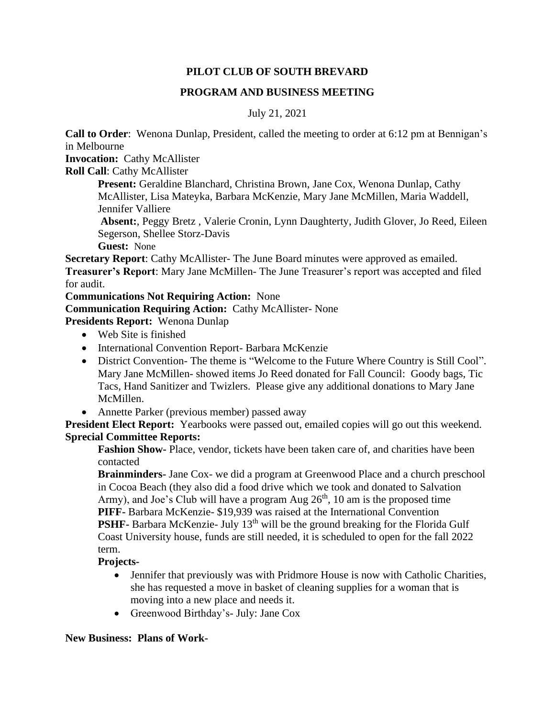## **PILOT CLUB OF SOUTH BREVARD**

## **PROGRAM AND BUSINESS MEETING**

# July 21, 2021

**Call to Order**: Wenona Dunlap, President, called the meeting to order at 6:12 pm at Bennigan's in Melbourne

**Invocation:** Cathy McAllister

**Roll Call**: Cathy McAllister

**Present:** Geraldine Blanchard, Christina Brown, Jane Cox, Wenona Dunlap, Cathy McAllister, Lisa Mateyka, Barbara McKenzie, Mary Jane McMillen, Maria Waddell, Jennifer Valliere

**Absent:**, Peggy Bretz , Valerie Cronin, Lynn Daughterty, Judith Glover, Jo Reed, Eileen Segerson, Shellee Storz-Davis

**Guest:** None

**Secretary Report**: Cathy McAllister- The June Board minutes were approved as emailed. **Treasurer's Report**: Mary Jane McMillen- The June Treasurer's report was accepted and filed for audit.

**Communications Not Requiring Action:** None

**Communication Requiring Action:** Cathy McAllister- None

**Presidents Report:** Wenona Dunlap

- Web Site is finished
- International Convention Report- Barbara McKenzie
- District Convention- The theme is "Welcome to the Future Where Country is Still Cool". Mary Jane McMillen- showed items Jo Reed donated for Fall Council: Goody bags, Tic Tacs, Hand Sanitizer and Twizlers. Please give any additional donations to Mary Jane McMillen.
- Annette Parker (previous member) passed away

**President Elect Report:** Yearbooks were passed out, emailed copies will go out this weekend. **Sprecial Committee Reports:** 

**Fashion Show-** Place, vendor, tickets have been taken care of, and charities have been contacted

**Brainminders-** Jane Cox- we did a program at Greenwood Place and a church preschool in Cocoa Beach (they also did a food drive which we took and donated to Salvation Army), and Joe's Club will have a program Aug  $26<sup>th</sup>$ , 10 am is the proposed time **PIFF-** Barbara McKenzie- \$19,939 was raised at the International Convention **PSHF-** Barbara McKenzie- July 13<sup>th</sup> will be the ground breaking for the Florida Gulf Coast University house, funds are still needed, it is scheduled to open for the fall 2022 term.

### **Projects-**

- Jennifer that previously was with Pridmore House is now with Catholic Charities, she has requested a move in basket of cleaning supplies for a woman that is moving into a new place and needs it.
- Greenwood Birthday's- July: Jane Cox

### **New Business: Plans of Work-**